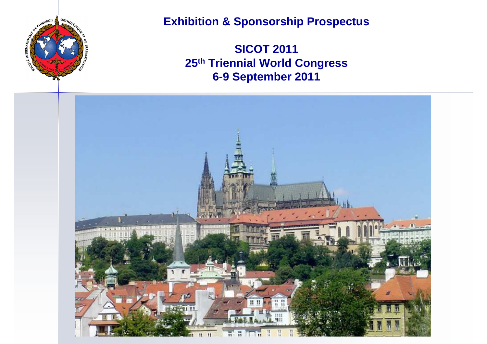

### **Exhibition & Sponsorship Prospectus**

**SICOT 2011 25th Triennial World Congress6-9 September 2011**

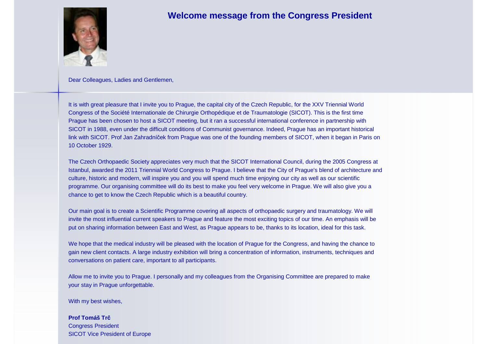

### **Welcome message from the Congress President**

Dear Colleagues, Ladies and Gentlemen,

It is with great pleasure that I invite you to Prague, the capital city of the Czech Republic, for the XXV Triennial World Congress of the Société Internationale de Chirurgie Orthopédique et de Traumatologie (SICOT). This is the first time Prague has been chosen to host a SICOT meeting, but it ran a successful international conference in partnership with SICOT in 1988, even under the difficult conditions of Communist governance. Indeed, Prague has an important historical link with SICOT. Prof Jan Zahradníček from Prague was one of the founding members of SICOT, when it began in Paris on 10 October 1929.

The Czech Orthopaedic Society appreciates very much that the SICOT International Council, during the 2005 Congress at Istanbul, awarded the 2011 Triennial World Congress to Prague. I believe that the City of Prague's blend of architecture andculture, historic and modern, will inspire you and you will spend much time enjoying our city as well as our scientific programme. Our organising committee will do its best to make you feel very welcome in Prague. We will also give you achance to get to know the Czech Republic which is a beautiful country.

Our main goal is to create a Scientific Programme covering all aspects of orthopaedic surgery and traumatology. We will invite the most influential current speakers to Prague and feature the most exciting topics of our time. An emphasis will beput on sharing information between East and West, as Prague appears to be, thanks to its location, ideal for this task.

We hope that the medical industry will be pleased with the location of Prague for the Congress, and having the chance to gain new client contacts. A large industry exhibition will bring a concentration of information, instruments, techniques andconversations on patient care, important to all participants.

Allow me to invite you to Prague. I personally and my colleagues from the Organising Committee are prepared to make your stay in Prague unforgettable.

With my best wishes,

#### **Prof Tomáš Tr**č

 Congress President SICOT Vice President of Europe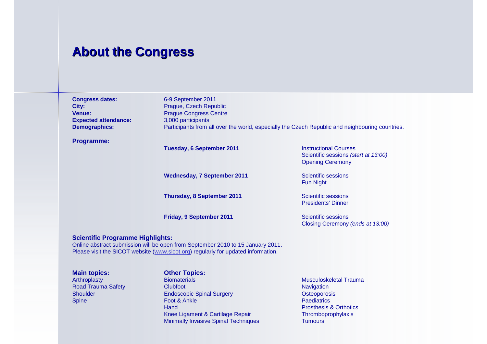### **About the Congress**

| <b>Congress dates:</b>      | 6-9 September 2011                                                                              |
|-----------------------------|-------------------------------------------------------------------------------------------------|
| City:                       | Prague, Czech Republic                                                                          |
| <b>Venue:</b>               | <b>Prague Congress Centre</b>                                                                   |
| <b>Expected attendance:</b> | 3,000 participants                                                                              |
| <b>Demographics:</b>        | Participants from all over the world, especially the Czech Republic and neighbouring countries. |
|                             |                                                                                                 |

### **Programme:**

**Tuesday, 6 September 2011**

**Wednesday, 7 September 2011**

**Thursday, 8 September 2011**

**Friday, 9 September 2011**

 Instructional Courses Scientific sessions (start at 13:00)Opening Ceremony

 Scientific sessions Fun Night

 Scientific sessions Presidents' Dinner

 Scientific sessions Closing Ceremony (ends at 13:00)

### **Scientific Programme Highlights:**

 Online abstract submission will be open from September 2010 to 15 January 2011. Please visit the SICOT website (www.sicot.org) regularly for updated information.

**Main topics:**<br> **Arthroplasty**<br> **Biomaterials** Road Trauma Safety **Clubfoot** Spine Foot & Ankle

**Arthroplasty Biomaterials Musculoskeletal Trauma** Shoulder Endoscopic Spinal Surgery **Hand** Knee Ligament & Cartilage Repair Minimally Invasive Spinal Techniques Tumours

**Navigation** Osteoporosis **Paediatrics** Prosthesis & Orthotics<br>Thromboprophylaxis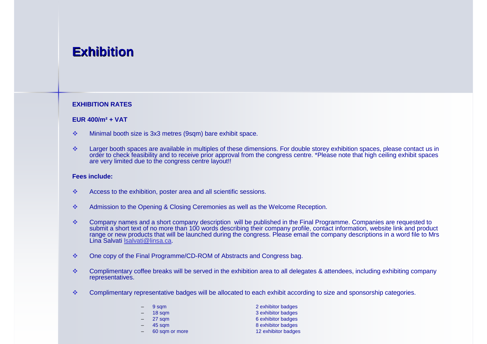## **Exhibition**

### **EXHIBITION RATES**

### **EUR 400/m² + VAT**

- $\mathcal{L}_{\mathcal{A}}$ Minimal booth size is 3x3 metres (9sqm) bare exhibit space.
- $\sigma_{\rm eff}^{\rm th}$ at larger booth spaces are available in multiples of these dimensions. For double storey exhibition spaces, please contact us in and to receive prior approval from the congress centre. \*Please note that high ceiling exhib are very limited due to the congress centre layout!!

### **Fees include:**

- $\sigma_{\rm eff}^{\rm 2D}$ Access to the exhibition, poster area and all scientific sessions.
- $\sigma_{\rm eff}^{\rm 2D}$ Admission to the Opening & Closing Ceremonies as well as the Welcome Reception.
- $\frac{1}{2}$ ↓ Company names and a short company description will be published in the Final Programme. Companies are requested to<br>submit a short text of no more than 100 words describing their company profile, contact information, web Lina Salvati lsalvati@linsa.ca.
- $\sigma_{\rm eff}^{\rm R}$ One copy of the Final Programme/CD-ROM of Abstracts and Congress bag.
- $\mathbf{e}_{\mathbf{a}}^{\mathbf{e}_{\mathbf{a}}}$  Complimentary coffee breaks will be served in the exhibition area to all delegates & attendees, including exhibiting company representatives.
- $\sigma_{\rm eff}^{\rm 2D}$ Complimentary representative badges will be allocated to each exhibit according to size and sponsorship categories.

| 9 sqm          | 2 exhibitor badges  |
|----------------|---------------------|
| 18 sqm         | 3 exhibitor badges  |
| 27 sqm         | 6 exhibitor badges  |
| 45 sqm         | 8 exhibitor badges  |
| 60 sqm or more | 12 exhibitor badges |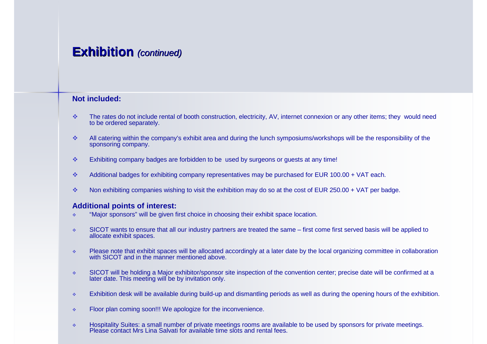### **Exhibition** (continued)

### **Not included:**

- $\sigma_{\rm eff}^{\rm 2D}$  The rates do not include rental of booth construction, electricity, AV, internet connexion or any other items; they would need to be ordered separately.
- $\frac{1}{2}$  All catering within the company's exhibit area and during the lunch symposiums/workshops will be the responsibility of the sponsoring company.
- $\sigma_{\rm{eff}}^{\rm{obs}}$ Exhibiting company badges are forbidden to be used by surgeons or guests at any time!
- $\Phi_{\mathbf{q}}^{\mathbf{p}}\Phi$ Additional badges for exhibiting company representatives may be purchased for EUR 100.00 + VAT each.
- $\sigma_{\rm eff}^{\rm R}$ Non exhibiting companies wishing to visit the exhibition may do so at the cost of EUR 250.00 + VAT per badge.

### **Additional points of interest:**

- "Major sponsors" will be given first choice in choosing their exhibit space location.  $\mathcal{L}_{\mathcal{C}}$
- $\mathcal{L}_{\mathcal{S}}$  SICOT wants to ensure that all our industry partners are treated the same – first come first served basis will be applied to allocate exhibit spaces.
- $\mathcal{L}_{\mathcal{D}}$ Please note that exhibit spaces will be allocated accordingly at a later date by the local organizing committee in collaboration with SICOT and in the manner mentioned above.
- $\mathcal{L}_{\mathcal{F}}$  SICOT will be holding a Major exhibitor/sponsor site inspection of the convention center; precise date will be confirmed at a later date. This meeting will be by invitation only.
- $\sigma_{\rm eff}^{\rm th}$ Exhibition desk will be available during build-up and dismantling periods as well as during the opening hours of the exhibition.
- $\mathcal{L}_{\mathcal{S}}$ Floor plan coming soon!!! We apologize for the inconvenience.
- $\mathcal{A}_{\mathcal{B}}$ Hospitality Suites: a small number of private meetings rooms are available to be used by sponsors for private meetings. Please contact Mrs Lina Salvati for available time slots and rental fees.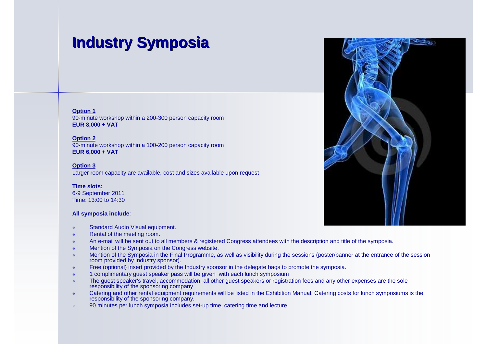# **Industry Symposia**

**Option 1** 90-minute workshop within a 200-300 person capacity room **EUR 8,000 + VAT**

**Option 2** 90-minute workshop within a 100-200 person capacity room **EUR 6,000 + VAT**

**Option 3**Larger room capacity are available, cost and sizes available upon request

#### **Time slots:**

 6-9 September 2011Time: 13:00 to 14:30

### **All symposia include**:

- $\mathcal{L}_{\mathcal{C}}$ Standard Audio Visual equipment.
- $\mathcal{L}_{\mathcal{C}}$ Rental of the meeting room.
- $\mathcal{L}_{\mathcal{C}}$ An e-mail will be sent out to all members & registered Congress attendees with the description and title of the symposia.
- $\mathcal{L}_{\mathcal{C}}$ Mention of the Symposia on the Congress website.
- $\mathcal{L}_{\mathcal{C}}$  Mention of the Symposia in the Final Programme, as well as visibility during the sessions (poster/banner at the entrance of the session room provided by Industry sponsor).
- Free (optional) insert provided by the Industry sponsor in the delegate bags to promote the symposia.  $\mathcal{L}_{\mathcal{C}}$
- $\mathcal{L}_{\mathcal{C}}$ 1 complimentary guest speaker pass will be given with each lunch symposium
- The guest speaker's travel, accommodation, all other guest speakers or registration fees and any other expenses are the sole<br>
represeligity of the approxima company  $\mathcal{L}_{\mathcal{P}}$ responsibility of the sponsoring company
- Catering and other rental equipment requirements will be listed in the Exhibition Manual. Catering costs for lunch symposiums is the recognitive of the energy company  $\mathcal{L}_{\mathcal{C}}$ responsibility of the sponsoring company.
- 90 minutes per lunch symposia includes set-up time, catering time and lecture. $\mathcal{L}_{\mathcal{P}}$

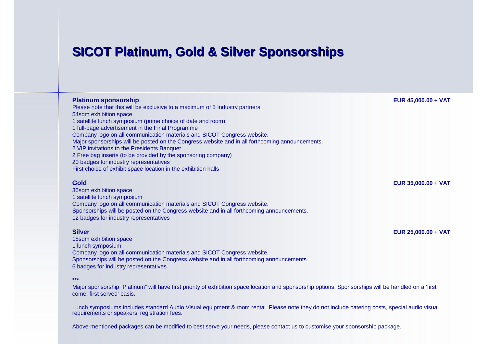## **SICOT Platinum, Gold & Silver Sponsorships**

| <b>Platinum sponsorship</b><br>Please note that this will be exclusive to a maximum of 5 Industry partners.<br>54sqm exhibition space<br>1 satellite lunch symposium (prime choice of date and room)<br>1 full-page advertisement in the Final Programme<br>Company logo on all communication materials and SICOT Congress website.<br>Major sponsorships will be posted on the Congress website and in all forthcoming announcements.<br>2 VIP invitations to the Presidents Banquet<br>2 Free bag inserts (to be provided by the sponsoring company)<br>20 badges for industry representatives<br>First choice of exhibit space location in the exhibition halls | EUR 45,000.00 + VAT |
|--------------------------------------------------------------------------------------------------------------------------------------------------------------------------------------------------------------------------------------------------------------------------------------------------------------------------------------------------------------------------------------------------------------------------------------------------------------------------------------------------------------------------------------------------------------------------------------------------------------------------------------------------------------------|---------------------|
| Gold<br>36sqm exhibition space<br>1 satellite lunch symposium<br>Company logo on all communication materials and SICOT Congress website.<br>Sponsorships will be posted on the Congress website and in all forthcoming announcements.<br>12 badges for industry representatives                                                                                                                                                                                                                                                                                                                                                                                    | EUR 35,000.00 + VAT |
| <b>Silver</b><br>18sqm exhibition space<br>1 lunch symposium<br>Company logo on all communication materials and SICOT Congress website.<br>Sponsorships will be posted on the Congress website and in all forthcoming announcements.                                                                                                                                                                                                                                                                                                                                                                                                                               | EUR 25,000.00 + VAT |

**\*\*\***

6 badges for industry representatives

 Major sponsorship "Platinum" will have first priority of exhibition space location and sponsorship options. Sponsorships will be handled on a 'first come, first served' basis.

Lunch symposiums includes standard Audio Visual equipment & room rental. Please note they do not include catering costs, special audio visual requirements or speakers' registration fees.

Above-mentioned packages can be modified to best serve your needs, please contact us to customise your sponsorship package.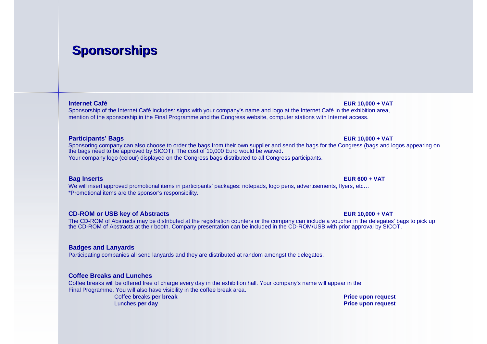## **Sponsorships**

### **Internet Café**

 **EUR 10,000 + VAT** Sponsorship of the Internet Café includes: signs with your company's name and logo at the Internet Café in the exhibition area, mention of the sponsorship in the Final Programme and the Congress website, computer stations with Internet access.

### **Participants' Bags**

 **EUR 10,000 + VAT** Sponsoring company can also choose to order the bags from their own supplier and send the bags for the Congress (bags and logos appearing on<br>the bags need to be approved by SICOT). The cost of 10,000 Euro would be waived. Your company logo (colour) displayed on the Congress bags distributed to all Congress participants.

### **Bag Inserts**

 **EUR 600 + VAT** We will insert approved promotional items in participants' packages: notepads, logo pens, advertisements, flyers, etc…\*Promotional items are the sponsor's responsibility.

### **CD-ROM or USB key of Abstracts**

**CD-ROM or USB key of Abstracts**<br>The CD-ROM of Abstracts may be distributed at the registration counters or the company can include a voucher in the delegates' bags to pick up the CD-ROM of Abstracts at their booth. Company presentation can be included in the CD-ROM/USB with prior approval by SICOT.

### **Badges and Lanyards**

Participating companies all send lanyards and they are distributed at random amongst the delegates.

### **Coffee Breaks and Lunches**

Coffee breaks will be offered free of charge every day in the exhibition hall. Your company's name will appear in the Final Programme. You will also have visibility in the coffee break area.

> Coffee breaks **per break**Lunches **per day**

 **Price upon request Price upon request**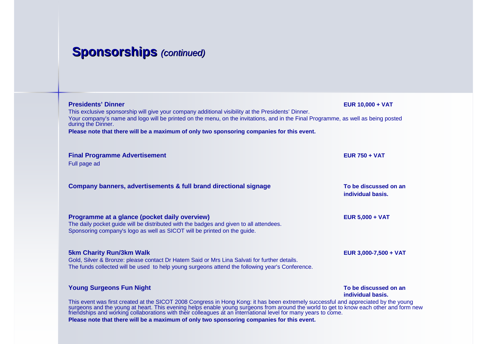## **Sponsorships** (continued)

| <b>Presidents' Dinner</b><br>This exclusive sponsorship will give your company additional visibility at the Presidents' Dinner.<br>Your company's name and logo will be printed on the menu, on the invitations, and in the Final Programme, as well as being posted                                                                                                                                                                                                                      | <b>EUR 10,000 + VAT</b>                    |
|-------------------------------------------------------------------------------------------------------------------------------------------------------------------------------------------------------------------------------------------------------------------------------------------------------------------------------------------------------------------------------------------------------------------------------------------------------------------------------------------|--------------------------------------------|
| during the Dinner.<br>Please note that there will be a maximum of only two sponsoring companies for this event.                                                                                                                                                                                                                                                                                                                                                                           |                                            |
|                                                                                                                                                                                                                                                                                                                                                                                                                                                                                           |                                            |
| <b>Final Programme Advertisement</b><br>Full page ad                                                                                                                                                                                                                                                                                                                                                                                                                                      | <b>EUR 750 + VAT</b>                       |
|                                                                                                                                                                                                                                                                                                                                                                                                                                                                                           |                                            |
| Company banners, advertisements & full brand directional signage                                                                                                                                                                                                                                                                                                                                                                                                                          | To be discussed on an<br>individual basis. |
|                                                                                                                                                                                                                                                                                                                                                                                                                                                                                           |                                            |
| Programme at a glance (pocket daily overview)<br>The daily pocket quide will be distributed with the badges and given to all attendees.<br>Sponsoring company's logo as well as SICOT will be printed on the guide.                                                                                                                                                                                                                                                                       | <b>EUR 5,000 + VAT</b>                     |
| <b>5km Charity Run/3km Walk</b><br>Gold, Silver & Bronze: please contact Dr Hatem Said or Mrs Lina Salvati for further details.                                                                                                                                                                                                                                                                                                                                                           | EUR 3,000-7,500 + VAT                      |
| The funds collected will be used to help young surgeons attend the following year's Conference.                                                                                                                                                                                                                                                                                                                                                                                           |                                            |
| <b>Young Surgeons Fun Night</b>                                                                                                                                                                                                                                                                                                                                                                                                                                                           | To be discussed on an                      |
| individual basis.<br>This event was first created at the SICOT 2008 Congress in Hong Kong: it has been extremely successful and appreciated by the young<br>surgeons and the young at heart. This evening helps enable young surgeons from around the world to get to know each other and form new<br>friendships and working collaborations with their colleagues at an international level<br>Please note that there will be a maximum of only two sponsoring companies for this event. |                                            |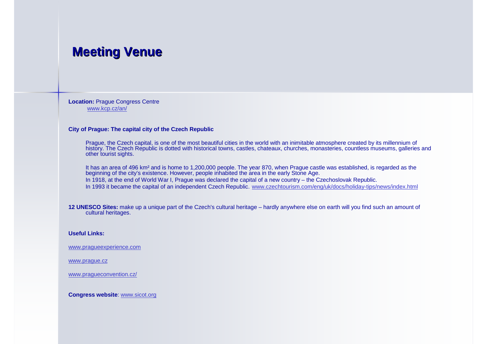### **Meeting Venue**

**Location:** Prague Congress Centrewww.kcp.cz/an/

#### **City of Prague: The capital city of the Czech Republic**

Prague, the Czech capital, is one of the most beautiful cities in the world with an inimitable atmosphere created by its millennium of<br>history. The Czech Republic is dotted with historical towns, castles, chateaux, churche other tourist sights.

It has an area of 496 km² and is home to 1,200,000 people. The year 870, when Prague castle was established, is regarded as the beginning of the city's existence. However, people inhabited the area in the early Stone Age. In 1918, at the end of World War I, Prague was declared the capital of a new country – the Czechoslovak Republic. In 1993 it became the capital of an independent Czech Republic. www.czechtourism.com/eng/uk/docs/holiday-tips/news/index.html

**12 UNESCO Sites:** make up a unique part of the Czech's cultural heritage – hardly anywhere else on earth will you find such an amount of cultural heritages.

#### **Useful Links:**

www.pragueexperience.com

www.prague.cz

www.pragueconvention.cz/

**Congress website**: www.sicot.org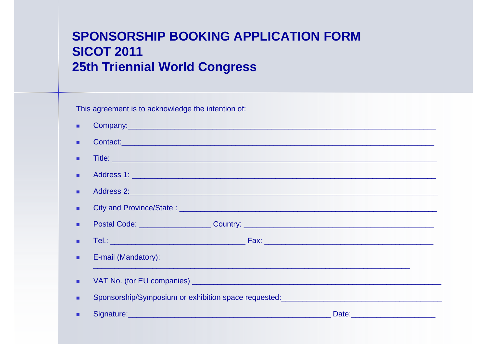## **SPONSORSHIP BOOKING APPLICATION FORM SICOT 2011 25th Triennial World Congress**

This agreement is to acknowledge the intention of:

|   | Contact: and the contact of the contact of the contact of the contact of the contact of the contact of the contact of the contact of the contact of the contact of the contact of the contact of the contact of the contact of       |  |  |
|---|--------------------------------------------------------------------------------------------------------------------------------------------------------------------------------------------------------------------------------------|--|--|
|   |                                                                                                                                                                                                                                      |  |  |
|   |                                                                                                                                                                                                                                      |  |  |
|   |                                                                                                                                                                                                                                      |  |  |
| ٠ |                                                                                                                                                                                                                                      |  |  |
|   | Postal Code: Communication Country: Country: Country: Country: Country: Country: Country: Country: Country: Country: Country: Country: Country: Country: Country: Country: Country: Country: Country: Country: Country: Countr       |  |  |
|   |                                                                                                                                                                                                                                      |  |  |
|   | E-mail (Mandatory):                                                                                                                                                                                                                  |  |  |
| ٠ |                                                                                                                                                                                                                                      |  |  |
|   | Sponsorship/Symposium or exhibition space requested:<br>Sponsorship/Symposium or exhibition space requested:                                                                                                                         |  |  |
|   | Signature: <u>Alexander Alexander and Charles and Charles and Charles and Charles and Charles and Charles and Charles and Charles and Charles and Charles and Charles and Charles and Charles and Charles and Charles and Charle</u> |  |  |